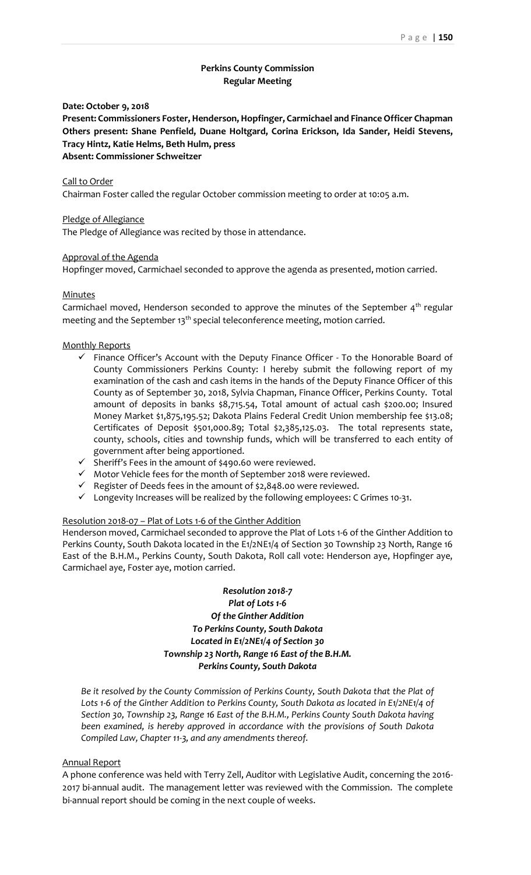# **Perkins County Commission Regular Meeting**

**Date: October 9, 2018**

**Present: Commissioners Foster, Henderson, Hopfinger, Carmichael and Finance Officer Chapman Others present: Shane Penfield, Duane Holtgard, Corina Erickson, Ida Sander, Heidi Stevens, Tracy Hintz, Katie Helms, Beth Hulm, press Absent: Commissioner Schweitzer**

#### Call to Order

Chairman Foster called the regular October commission meeting to order at 10:05 a.m.

#### Pledge of Allegiance

The Pledge of Allegiance was recited by those in attendance.

#### Approval of the Agenda

Hopfinger moved, Carmichael seconded to approve the agenda as presented, motion carried.

#### Minutes

Carmichael moved, Henderson seconded to approve the minutes of the September  $4<sup>th</sup>$  regular meeting and the September  $13<sup>th</sup>$  special teleconference meeting, motion carried.

#### Monthly Reports

- $\checkmark$  Finance Officer's Account with the Deputy Finance Officer To the Honorable Board of County Commissioners Perkins County: I hereby submit the following report of my examination of the cash and cash items in the hands of the Deputy Finance Officer of this County as of September 30, 2018, Sylvia Chapman, Finance Officer, Perkins County. Total amount of deposits in banks \$8,715.54, Total amount of actual cash \$200.00; Insured Money Market \$1,875,195.52; Dakota Plains Federal Credit Union membership fee \$13.08; Certificates of Deposit \$501,000.89; Total \$2,385,125.03. The total represents state, county, schools, cities and township funds, which will be transferred to each entity of government after being apportioned.
- ✓ Sheriff's Fees in the amount of \$490.60 were reviewed.
- ✓ Motor Vehicle fees for the month of September 2018 were reviewed.
- $\checkmark$  Register of Deeds fees in the amount of \$2,848.00 were reviewed.
- $\checkmark$  Longevity Increases will be realized by the following employees: C Grimes 10-31.

#### Resolution 2018-07 – Plat of Lots 1-6 of the Ginther Addition

Henderson moved, Carmichael seconded to approve the Plat of Lots 1-6 of the Ginther Addition to Perkins County, South Dakota located in the E1/2NE1/4 of Section 30 Township 23 North, Range 16 East of the B.H.M., Perkins County, South Dakota, Roll call vote: Henderson aye, Hopfinger aye, Carmichael aye, Foster aye, motion carried.

# *Resolution 2018-7 Plat of Lots 1-6 Of the Ginther Addition To Perkins County, South Dakota Located in E1/2NE1/4 of Section 30 Township 23 North, Range 16 East of the B.H.M. Perkins County, South Dakota*

*Be it resolved by the County Commission of Perkins County, South Dakota that the Plat of*  Lots 1-6 of the Ginther Addition to Perkins County, South Dakota as located in E1/2NE1/4 of *Section 30, Township 23, Range 16 East of the B.H.M., Perkins County South Dakota having been examined, is hereby approved in accordance with the provisions of South Dakota Compiled Law, Chapter 11-3, and any amendments thereof.*

#### Annual Report

A phone conference was held with Terry Zell, Auditor with Legislative Audit, concerning the 2016- 2017 bi-annual audit. The management letter was reviewed with the Commission. The complete bi-annual report should be coming in the next couple of weeks.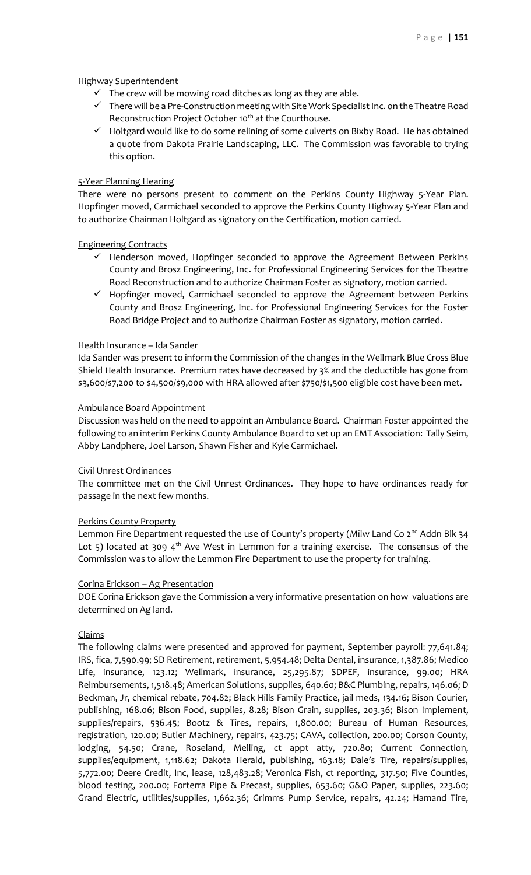## Highway Superintendent

- $\checkmark$  The crew will be mowing road ditches as long as they are able.
- ✓ There will be a Pre-Construction meeting with Site Work Specialist Inc. on the Theatre Road Reconstruction Project October 10<sup>th</sup> at the Courthouse.
- ✓ Holtgard would like to do some relining of some culverts on Bixby Road. He has obtained a quote from Dakota Prairie Landscaping, LLC. The Commission was favorable to trying this option.

## 5-Year Planning Hearing

There were no persons present to comment on the Perkins County Highway 5-Year Plan. Hopfinger moved, Carmichael seconded to approve the Perkins County Highway 5-Year Plan and to authorize Chairman Holtgard as signatory on the Certification, motion carried.

## Engineering Contracts

- ✓ Henderson moved, Hopfinger seconded to approve the Agreement Between Perkins County and Brosz Engineering, Inc. for Professional Engineering Services for the Theatre Road Reconstruction and to authorize Chairman Foster as signatory, motion carried.
- ✓ Hopfinger moved, Carmichael seconded to approve the Agreement between Perkins County and Brosz Engineering, Inc. for Professional Engineering Services for the Foster Road Bridge Project and to authorize Chairman Foster as signatory, motion carried.

## Health Insurance – Ida Sander

Ida Sander was present to inform the Commission of the changes in the Wellmark Blue Cross Blue Shield Health Insurance. Premium rates have decreased by 3% and the deductible has gone from \$3,600/\$7,200 to \$4,500/\$9,000 with HRA allowed after \$750/\$1,500 eligible cost have been met.

# Ambulance Board Appointment

Discussion was held on the need to appoint an Ambulance Board. Chairman Foster appointed the following to an interim Perkins County Ambulance Board to set up an EMT Association: Tally Seim, Abby Landphere, Joel Larson, Shawn Fisher and Kyle Carmichael.

## Civil Unrest Ordinances

The committee met on the Civil Unrest Ordinances. They hope to have ordinances ready for passage in the next few months.

# Perkins County Property

Lemmon Fire Department requested the use of County's property (Milw Land Co  $2^{nd}$  Addn Blk 34 Lot 5) located at 309  $4<sup>th</sup>$  Ave West in Lemmon for a training exercise. The consensus of the Commission was to allow the Lemmon Fire Department to use the property for training.

## Corina Erickson – Ag Presentation

DOE Corina Erickson gave the Commission a very informative presentation on how valuations are determined on Ag land.

## Claims

The following claims were presented and approved for payment, September payroll: 77,641.84; IRS, fica, 7,590.99; SD Retirement, retirement, 5,954.48; Delta Dental, insurance, 1,387.86; Medico Life, insurance, 123.12; Wellmark, insurance, 25,295.87; SDPEF, insurance, 99.00; HRA Reimbursements, 1,518.48; American Solutions, supplies, 640.60; B&C Plumbing, repairs, 146.06; D Beckman, Jr, chemical rebate, 704.82; Black Hills Family Practice, jail meds, 134.16; Bison Courier, publishing, 168.06; Bison Food, supplies, 8.28; Bison Grain, supplies, 203.36; Bison Implement, supplies/repairs, 536.45; Bootz & Tires, repairs, 1,800.00; Bureau of Human Resources, registration, 120.00; Butler Machinery, repairs, 423.75; CAVA, collection, 200.00; Corson County, lodging, 54.50; Crane, Roseland, Melling, ct appt atty, 720.80; Current Connection, supplies/equipment, 1,118.62; Dakota Herald, publishing, 163.18; Dale's Tire, repairs/supplies, 5,772.00; Deere Credit, Inc, lease, 128,483.28; Veronica Fish, ct reporting, 317.50; Five Counties, blood testing, 200.00; Forterra Pipe & Precast, supplies, 653.60; G&O Paper, supplies, 223.60; Grand Electric, utilities/supplies, 1,662.36; Grimms Pump Service, repairs, 42.24; Hamand Tire,